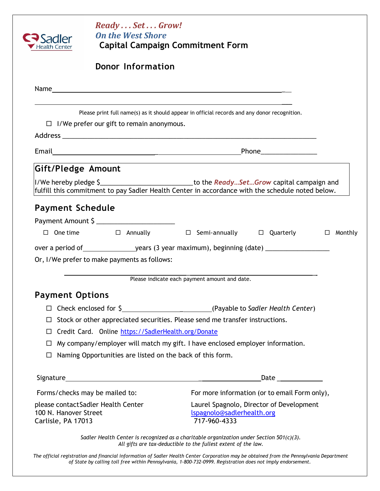| Sadler<br>lealth Center                                                           | ReadySetGrow!<br><b>On the West Shore</b>                                                                        | <b>Capital Campaign Commitment Form</b>                                                                                                                                                           |
|-----------------------------------------------------------------------------------|------------------------------------------------------------------------------------------------------------------|---------------------------------------------------------------------------------------------------------------------------------------------------------------------------------------------------|
|                                                                                   | <b>Donor Information</b>                                                                                         |                                                                                                                                                                                                   |
|                                                                                   |                                                                                                                  | Name                                                                                                                                                                                              |
|                                                                                   | $\Box$ I/We prefer our gift to remain anonymous.                                                                 | Please print full name(s) as it should appear in official records and any donor recognition.                                                                                                      |
|                                                                                   |                                                                                                                  |                                                                                                                                                                                                   |
| Gift/Pledge Amount                                                                |                                                                                                                  | I/We hereby pledge \$________________________________to the ReadySetGrow capital campaign and<br>fulfill this commitment to pay Sadler Health Center in accordance with the schedule noted below. |
|                                                                                   | Payment Amount \$<br>Or, I/We prefer to make payments as follows:                                                | $\Box$ One time $\Box$ Annually $\Box$ Semi-annually $\Box$ Quarterly<br>$\Box$ Monthly                                                                                                           |
|                                                                                   |                                                                                                                  | Please indicate each payment amount and date.                                                                                                                                                     |
| <b>Payment Options</b><br>$\Box$<br>$\Box$<br>$\Box$<br>$\Box$                    | Credit Card. Online https://SadlerHealth.org/Donate<br>Naming Opportunities are listed on the back of this form. | Stock or other appreciated securities. Please send me transfer instructions.<br>My company/employer will match my gift. I have enclosed employer information.                                     |
|                                                                                   |                                                                                                                  |                                                                                                                                                                                                   |
|                                                                                   | Forms/checks may be mailed to:                                                                                   | For more information (or to email Form only),                                                                                                                                                     |
| please contactSadler Health Center<br>100 N. Hanover Street<br>Carlisle, PA 17013 |                                                                                                                  | Laurel Spagnolo, Director of Development<br>Ispagnolo@sadlerhealth.org<br>717-960-4333                                                                                                            |
|                                                                                   |                                                                                                                  | Sadler Health Center is recognized as a charitable organization under Section 501(c)(3).<br>All gifts are tax-deductible to the fullest extent of the law.                                        |

*The official registration and financial information of Sadler Health Center Corporation may be obtained from the Pennsylvania Department of State by calling toll free within Pennsylvania, 1-800-732-0999. Registration does not imply endorsement.*